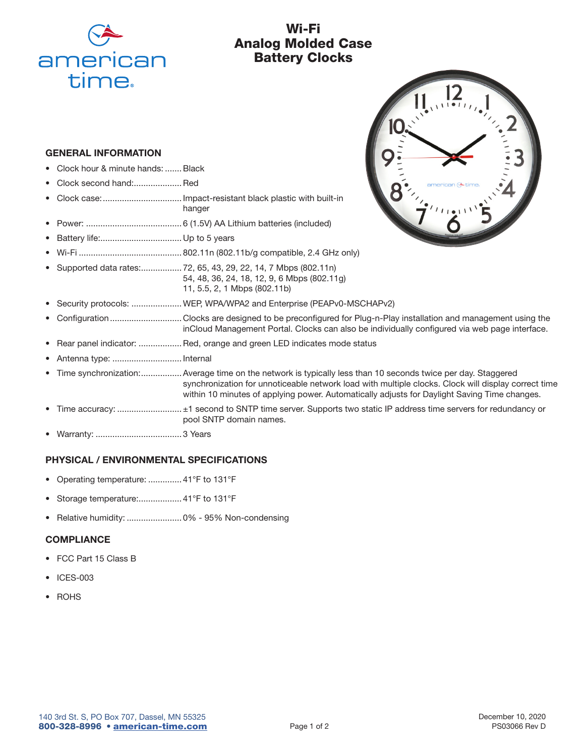

# Wi-Fi Analog Molded Case Battery Clocks

#### GENERAL INFORMATION

- Clock hour & minute hands: .......Black
- Clock second hand:.................... Red
- Clock case: ................................. Impact-resistant black plastic with built-in hanger
- Power: ........................................ 6 (1.5V) AA Lithium batteries (included)
- Battery life: .................................. Up to 5 years
- Wi-Fi ........................................... 802.11n (802.11b/g compatible, 2.4 GHz only)
- Supported data rates: ................. 72, 65, 43, 29, 22, 14, 7 Mbps (802.11n) 54, 48, 36, 24, 18, 12, 9, 6 Mbps (802.11g) 11, 5.5, 2, 1 Mbps (802.11b)
	- Security protocols: .....................WEP, WPA/WPA2 and Enterprise (PEAPv0-MSCHAPv2)
- Configuration .............................. Clocks are designed to be preconfigured for Plug-n-Play installation and management using the inCloud Management Portal. Clocks can also be individually configured via web page interface.
- Rear panel indicator: .................. Red, orange and green LED indicates mode status
- Antenna type: ............................. Internal
- Time synchronization: .................Average time on the network is typically less than 10 seconds twice per day. Staggered synchronization for unnoticeable network load with multiple clocks. Clock will display correct time within 10 minutes of applying power. Automatically adjusts for Daylight Saving Time changes.
- Time accuracy: ........................... ±1 second to SNTP time server. Supports two static IP address time servers for redundancy or pool SNTP domain names.
- Warranty: .................................... 3 Years

### PHYSICAL / ENVIRONMENTAL SPECIFICATIONS

- Operating temperature: .............. 41°F to 131°F
- Storage temperature:................... 41°F to 131°F
- Relative humidity: ....................... 0% 95% Non-condensing

#### **COMPLIANCE**

- FCC Part 15 Class B
- ICES-003
- **ROHS**